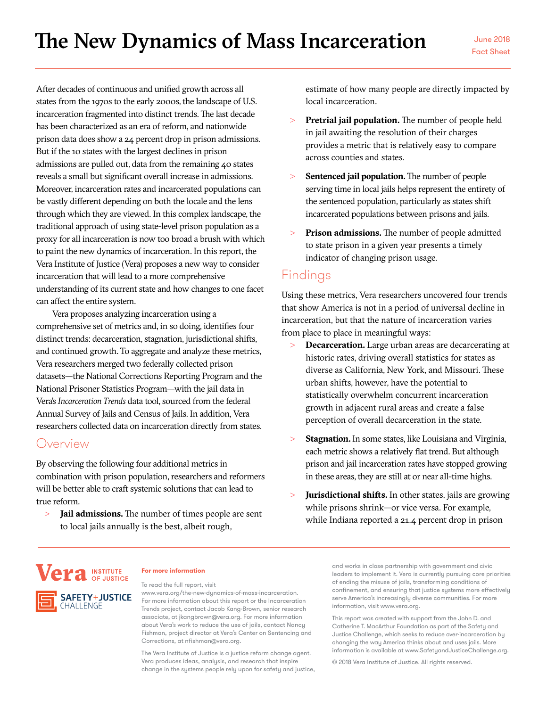After decades of continuous and unified growth across all states from the 1970s to the early 2000s, the landscape of U.S. incarceration fragmented into distinct trends. The last decade has been characterized as an era of reform, and nationwide prison data does show a 24 percent drop in prison admissions. But if the 10 states with the largest declines in prison admissions are pulled out, data from the remaining 40 states reveals a small but significant overall increase in admissions. Moreover, incarceration rates and incarcerated populations can be vastly different depending on both the locale and the lens through which they are viewed. In this complex landscape, the traditional approach of using state-level prison population as a proxy for all incarceration is now too broad a brush with which to paint the new dynamics of incarceration. In this report, the Vera Institute of Justice (Vera) proposes a new way to consider incarceration that will lead to a more comprehensive understanding of its current state and how changes to one facet can affect the entire system.

Vera proposes analyzing incarceration using a comprehensive set of metrics and, in so doing, identifies four distinct trends: decarceration, stagnation, jurisdictional shifts, and continued growth. To aggregate and analyze these metrics, Vera researchers merged two federally collected prison datasets—the National Corrections Reporting Program and the National Prisoner Statistics Program—with the jail data in Vera's *Incarceration Trends* data tool, sourced from the federal Annual Survey of Jails and Census of Jails. In addition, Vera researchers collected data on incarceration directly from states.

## Overview

By observing the following four additional metrics in combination with prison population, researchers and reformers will be better able to craft systemic solutions that can lead to true reform.

> **Jail admissions.** The number of times people are sent to local jails annually is the best, albeit rough,

estimate of how many people are directly impacted by local incarceration.

- > **Pretrial jail population.** The number of people held in jail awaiting the resolution of their charges provides a metric that is relatively easy to compare across counties and states.
- > **Sentenced jail population.** The number of people serving time in local jails helps represent the entirety of the sentenced population, particularly as states shift incarcerated populations between prisons and jails.
- > **Prison admissions.** The number of people admitted to state prison in a given year presents a timely indicator of changing prison usage.

# Findings

Using these metrics, Vera researchers uncovered four trends that show America is not in a period of universal decline in incarceration, but that the nature of incarceration varies from place to place in meaningful ways:

- > **Decarceration.** Large urban areas are decarcerating at historic rates, driving overall statistics for states as diverse as California, New York, and Missouri. These urban shifts, however, have the potential to statistically overwhelm concurrent incarceration growth in adjacent rural areas and create a false perception of overall decarceration in the state.
- > **Stagnation.** In some states, like Louisiana and Virginia, each metric shows a relatively flat trend. But although prison and jail incarceration rates have stopped growing in these areas, they are still at or near all-time highs.
- > **Jurisdictional shifts.** In other states, jails are growing while prisons shrink—or vice versa. For example, while Indiana reported a 21.4 percent drop in prison



### **For more information**

To read the full report, visit

<www.vera.org/the-new-dynamics-of-mass-incarceration>. For more information about this report or the Incarceration Trends project, contact Jacob Kang-Brown, senior research associate, at jkangbrown@vera.org. For more information about Vera's work to reduce the use of jails, contact Nancy Fishman, project director at Vera's Center on Sentencing and Corrections, at nfishman@vera.org.

The Vera Institute of Justice is a justice reform change agent. Vera produces ideas, analysis, and research that inspire change in the systems people rely upon for safety and justice, and works in close partnership with government and civic leaders to implement it. Vera is currently pursuing core priorities of ending the misuse of jails, transforming conditions of confinement, and ensuring that justice systems more effectively serve America's increasingly diverse communities. For more information, visit www.vera.org.

This report was created with support from the John D. and Catherine T. MacArthur Foundation as part of the Safety and Justice Challenge, which seeks to reduce over-incarceration by changing the way America thinks about and uses jails. More information is available at www.SafetyandJusticeChallenge.org.

© 2018 Vera Institute of Justice. All rights reserved.